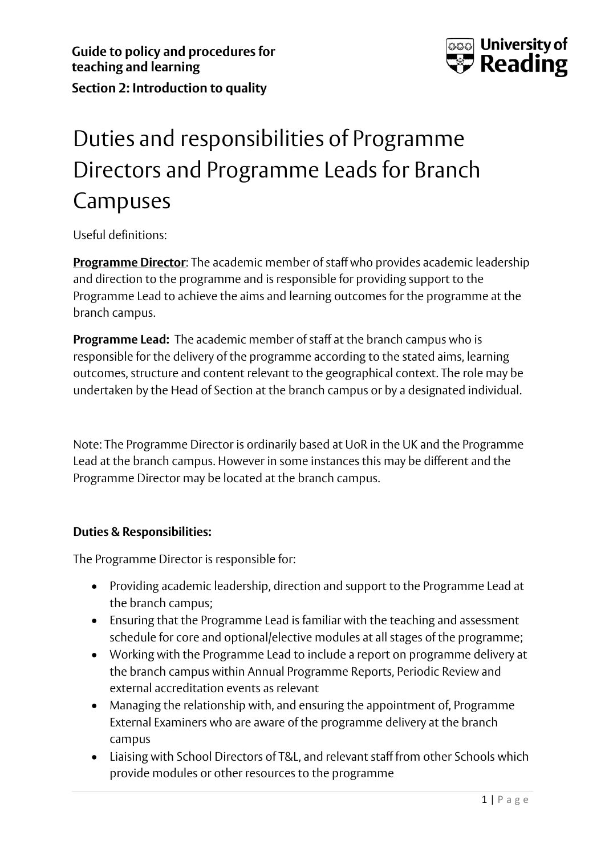

## Duties and responsibilities of Programme Directors and Programme Leads for Branch Campuses

Useful definitions:

**Programme Director**: The academic member of staff who provides academic leadership and direction to the programme and is responsible for providing support to the Programme Lead to achieve the aims and learning outcomes for the programme at the branch campus.

**Programme Lead:** The academic member of staff at the branch campus who is responsible for the delivery of the programme according to the stated aims, learning outcomes, structure and content relevant to the geographical context. The role may be undertaken by the Head of Section at the branch campus or by a designated individual.

Note: The Programme Director is ordinarily based at UoR in the UK and the Programme Lead at the branch campus. However in some instances this may be different and the Programme Director may be located at the branch campus.

## **Duties & Responsibilities:**

The Programme Director is responsible for:

- Providing academic leadership, direction and support to the Programme Lead at the branch campus;
- Ensuring that the Programme Lead is familiar with the teaching and assessment schedule for core and optional/elective modules at all stages of the programme;
- Working with the Programme Lead to include a report on programme delivery at the branch campus within Annual Programme Reports, Periodic Review and external accreditation events as relevant
- Managing the relationship with, and ensuring the appointment of, Programme External Examiners who are aware of the programme delivery at the branch campus
- Liaising with School Directors of T&L, and relevant staff from other Schools which provide modules or other resources to the programme